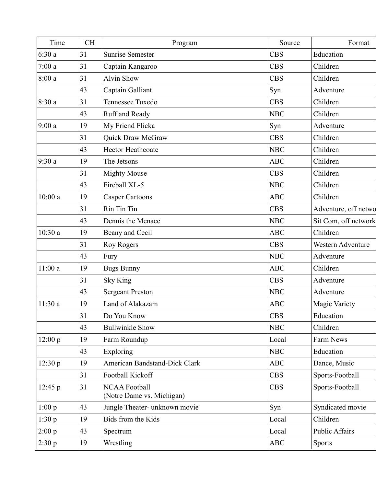| Time    | <b>CH</b> | Program                                           | Source     | Format               |
|---------|-----------|---------------------------------------------------|------------|----------------------|
| 6:30a   | 31        | <b>Sunrise Semester</b>                           | <b>CBS</b> | Education            |
| 7:00a   | 31        | Captain Kangaroo                                  | <b>CBS</b> | Children             |
| 8:00a   | 31        | <b>Alvin Show</b>                                 | <b>CBS</b> | Children             |
|         | 43        | Captain Galliant                                  | Syn        | Adventure            |
| 8:30 a  | 31        | Tennessee Tuxedo                                  | <b>CBS</b> | Children             |
|         | 43        | Ruff and Ready                                    | <b>NBC</b> | Children             |
| 9:00a   | 19        | My Friend Flicka                                  | Syn        | Adventure            |
|         | 31        | Quick Draw McGraw                                 | <b>CBS</b> | Children             |
|         | 43        | <b>Hector Heathcoate</b>                          | <b>NBC</b> | Children             |
| 9:30a   | 19        | The Jetsons                                       | <b>ABC</b> | Children             |
|         | 31        | <b>Mighty Mouse</b>                               | <b>CBS</b> | Children             |
|         | 43        | Fireball XL-5                                     | <b>NBC</b> | Children             |
| 10:00a  | 19        | <b>Casper Cartoons</b>                            | <b>ABC</b> | Children             |
|         | 31        | Rin Tin Tin                                       | <b>CBS</b> | Adventure, off netwo |
|         | 43        | Dennis the Menace                                 | <b>NBC</b> | Sit Com, off network |
| 10:30a  | 19        | Beany and Cecil                                   | <b>ABC</b> | Children             |
|         | 31        | Roy Rogers                                        | <b>CBS</b> | Western Adventure    |
|         | 43        | Fury                                              | <b>NBC</b> | Adventure            |
| 11:00a  | 19        | <b>Bugs Bunny</b>                                 | <b>ABC</b> | Children             |
|         | 31        | <b>Sky King</b>                                   | <b>CBS</b> | Adventure            |
|         | 43        | <b>Sergeant Preston</b>                           | <b>NBC</b> | Adventure            |
| 11:30a  | 19        | Land of Alakazam                                  | <b>ABC</b> | Magic Variety        |
|         | 31        | Do You Know                                       | <b>CBS</b> | Education            |
|         | 43        | <b>Bullwinkle Show</b>                            | <b>NBC</b> | Children             |
| 12:00 p | 19        | Farm Roundup                                      | Local      | Farm News            |
|         | 43        | Exploring                                         | <b>NBC</b> | Education            |
| 12:30 p | 19        | <b>American Bandstand-Dick Clark</b>              | <b>ABC</b> | Dance, Music         |
|         | 31        | Football Kickoff                                  | <b>CBS</b> | Sports-Football      |
| 12:45 p | 31        | <b>NCAA Football</b><br>(Notre Dame vs. Michigan) | <b>CBS</b> | Sports-Football      |
| 1:00 p  | 43        | Jungle Theater- unknown movie                     | Syn        | Syndicated movie     |
| 1:30 p  | 19        | Bids from the Kids                                | Local      | Children             |
| 2:00 p  | 43        | Spectrum                                          | Local      | Public Affairs       |
| 2:30 p  | 19        | Wrestling                                         | <b>ABC</b> | <b>Sports</b>        |
|         |           |                                                   |            |                      |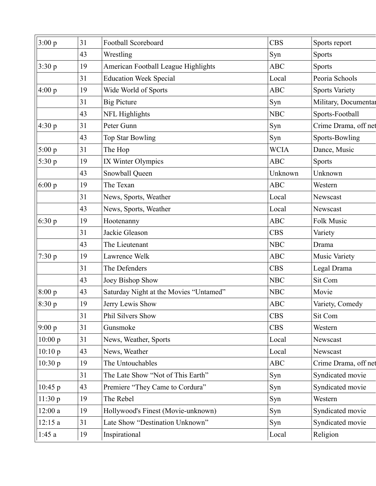| 3:00 p  | 31 | Football Scoreboard                    | <b>CBS</b>  | Sports report         |
|---------|----|----------------------------------------|-------------|-----------------------|
|         | 43 | Wrestling                              | Syn         | <b>Sports</b>         |
| 3:30 p  | 19 | American Football League Highlights    | <b>ABC</b>  | Sports                |
|         | 31 | <b>Education Week Special</b>          | Local       | Peoria Schools        |
| 4:00 p  | 19 | Wide World of Sports                   | <b>ABC</b>  | <b>Sports Variety</b> |
|         | 31 | <b>Big Picture</b>                     | Syn         | Military, Documentar  |
|         | 43 | NFL Highlights                         | <b>NBC</b>  | Sports-Football       |
| 4:30 p  | 31 | Peter Gunn                             | Syn         | Crime Drama, off net  |
|         | 43 | Top Star Bowling                       | Syn         | Sports-Bowling        |
| 5:00 p  | 31 | The Hop                                | <b>WCIA</b> | Dance, Music          |
| 5:30 p  | 19 | IX Winter Olympics                     | ABC         | <b>Sports</b>         |
|         | 43 | Snowball Queen                         | Unknown     | Unknown               |
| 6:00 p  | 19 | The Texan                              | ABC         | Western               |
|         | 31 | News, Sports, Weather                  | Local       | Newscast              |
|         | 43 | News, Sports, Weather                  | Local       | Newscast              |
| 6:30 p  | 19 | Hootenanny                             | ABC         | Folk Music            |
|         | 31 | Jackie Gleason                         | <b>CBS</b>  | Variety               |
|         | 43 | The Lieutenant                         | <b>NBC</b>  | Drama                 |
| 7:30 p  | 19 | Lawrence Welk                          | <b>ABC</b>  | Music Variety         |
|         | 31 | The Defenders                          | <b>CBS</b>  | Legal Drama           |
|         | 43 | Joey Bishop Show                       | <b>NBC</b>  | Sit Com               |
| 8:00 p  | 43 | Saturday Night at the Movies "Untamed" | <b>NBC</b>  | Movie                 |
| 8:30 p  | 19 | Jerry Lewis Show                       | <b>ABC</b>  | Variety, Comedy       |
|         | 31 | Phil Silvers Show                      | <b>CBS</b>  | Sit Com               |
| 9:00 p  | 31 | Gunsmoke                               | <b>CBS</b>  | Western               |
| 10:00 p | 31 | News, Weather, Sports                  | Local       | Newscast              |
| 10:10 p | 43 | News, Weather                          | Local       | Newscast              |
| 10:30 p | 19 | The Untouchables                       | <b>ABC</b>  | Crime Drama, off net  |
|         | 31 | The Late Show "Not of This Earth"      | Syn         | Syndicated movie      |
| 10:45 p | 43 | Premiere "They Came to Cordura"        | Syn         | Syndicated movie      |
| 11:30 p | 19 | The Rebel                              | Syn         | Western               |
| 12:00a  | 19 | Hollywood's Finest (Movie-unknown)     | Syn         | Syndicated movie      |
| 12:15a  | 31 | Late Show "Destination Unknown"        | Syn         | Syndicated movie      |
| 1:45a   | 19 | Inspirational                          | Local       | Religion              |
|         |    |                                        |             |                       |